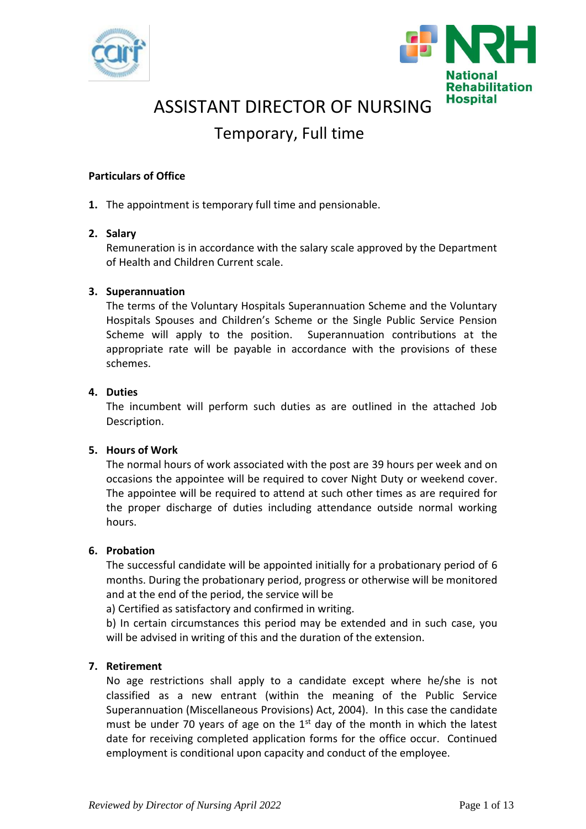



# ASSISTANT DIRECTOR OF NURSING

# Temporary, Full time

### **Particulars of Office**

**1.** The appointment is temporary full time and pensionable.

### **2. Salary**

Remuneration is in accordance with the salary scale approved by the Department of Health and Children Current scale.

### **3. Superannuation**

The terms of the Voluntary Hospitals Superannuation Scheme and the Voluntary Hospitals Spouses and Children's Scheme or the Single Public Service Pension Scheme will apply to the position. Superannuation contributions at the appropriate rate will be payable in accordance with the provisions of these schemes.

#### **4. Duties**

The incumbent will perform such duties as are outlined in the attached Job Description.

#### **5. Hours of Work**

The normal hours of work associated with the post are 39 hours per week and on occasions the appointee will be required to cover Night Duty or weekend cover. The appointee will be required to attend at such other times as are required for the proper discharge of duties including attendance outside normal working hours.

#### **6. Probation**

The successful candidate will be appointed initially for a probationary period of 6 months. During the probationary period, progress or otherwise will be monitored and at the end of the period, the service will be

a) Certified as satisfactory and confirmed in writing.

b) In certain circumstances this period may be extended and in such case, you will be advised in writing of this and the duration of the extension.

#### **7. Retirement**

No age restrictions shall apply to a candidate except where he/she is not classified as a new entrant (within the meaning of the Public Service Superannuation (Miscellaneous Provisions) Act, 2004). In this case the candidate must be under 70 years of age on the  $1<sup>st</sup>$  day of the month in which the latest date for receiving completed application forms for the office occur. Continued employment is conditional upon capacity and conduct of the employee.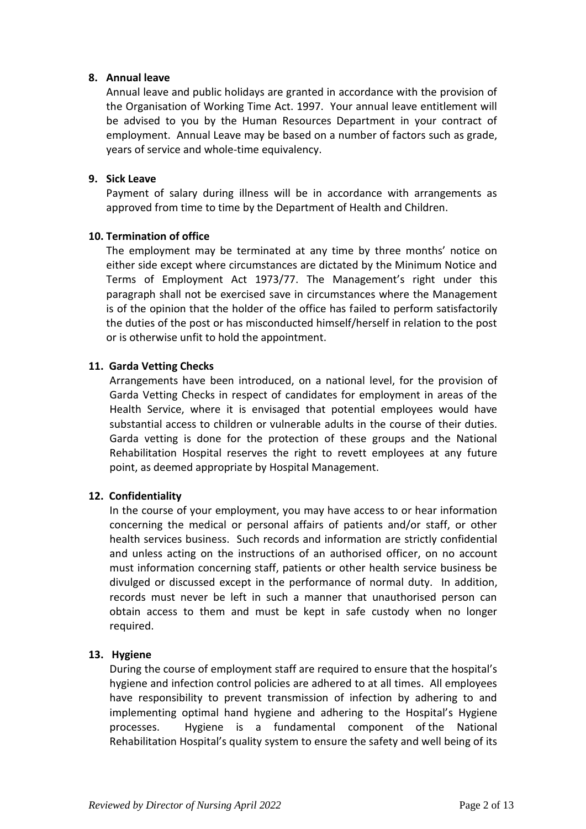#### **8. Annual leave**

Annual leave and public holidays are granted in accordance with the provision of the Organisation of Working Time Act. 1997. Your annual leave entitlement will be advised to you by the Human Resources Department in your contract of employment. Annual Leave may be based on a number of factors such as grade, years of service and whole-time equivalency.

### **9. Sick Leave**

Payment of salary during illness will be in accordance with arrangements as approved from time to time by the Department of Health and Children.

### **10. Termination of office**

The employment may be terminated at any time by three months' notice on either side except where circumstances are dictated by the Minimum Notice and Terms of Employment Act 1973/77. The Management's right under this paragraph shall not be exercised save in circumstances where the Management is of the opinion that the holder of the office has failed to perform satisfactorily the duties of the post or has misconducted himself/herself in relation to the post or is otherwise unfit to hold the appointment.

### **11. Garda Vetting Checks**

Arrangements have been introduced, on a national level, for the provision of Garda Vetting Checks in respect of candidates for employment in areas of the Health Service, where it is envisaged that potential employees would have substantial access to children or vulnerable adults in the course of their duties. Garda vetting is done for the protection of these groups and the National Rehabilitation Hospital reserves the right to revett employees at any future point, as deemed appropriate by Hospital Management.

### **12. Confidentiality**

In the course of your employment, you may have access to or hear information concerning the medical or personal affairs of patients and/or staff, or other health services business. Such records and information are strictly confidential and unless acting on the instructions of an authorised officer, on no account must information concerning staff, patients or other health service business be divulged or discussed except in the performance of normal duty. In addition, records must never be left in such a manner that unauthorised person can obtain access to them and must be kept in safe custody when no longer required.

### **13. Hygiene**

During the course of employment staff are required to ensure that the hospital's hygiene and infection control policies are adhered to at all times. All employees have responsibility to prevent transmission of infection by adhering to and implementing optimal hand hygiene and adhering to the Hospital's Hygiene processes. Hygiene is a fundamental component of the National Rehabilitation Hospital's quality system to ensure the safety and well being of its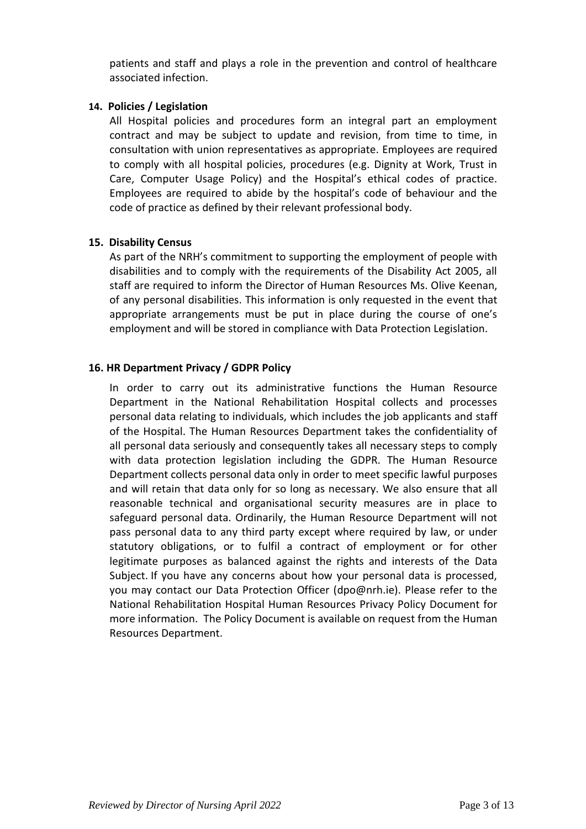patients and staff and plays a role in the prevention and control of healthcare associated infection.

### **14. Policies / Legislation**

All Hospital policies and procedures form an integral part an employment contract and may be subject to update and revision, from time to time, in consultation with union representatives as appropriate. Employees are required to comply with all hospital policies, procedures (e.g. Dignity at Work, Trust in Care, Computer Usage Policy) and the Hospital's ethical codes of practice. Employees are required to abide by the hospital's code of behaviour and the code of practice as defined by their relevant professional body.

### **15. Disability Census**

As part of the NRH's commitment to supporting the employment of people with disabilities and to comply with the requirements of the Disability Act 2005, all staff are required to inform the Director of Human Resources Ms. Olive Keenan, of any personal disabilities. This information is only requested in the event that appropriate arrangements must be put in place during the course of one's employment and will be stored in compliance with Data Protection Legislation.

### **16. HR Department Privacy / GDPR Policy**

In order to carry out its administrative functions the Human Resource Department in the National Rehabilitation Hospital collects and processes personal data relating to individuals, which includes the job applicants and staff of the Hospital. The Human Resources Department takes the confidentiality of all personal data seriously and consequently takes all necessary steps to comply with data protection legislation including the GDPR. The Human Resource Department collects personal data only in order to meet specific lawful purposes and will retain that data only for so long as necessary. We also ensure that all reasonable technical and organisational security measures are in place to safeguard personal data. Ordinarily, the Human Resource Department will not pass personal data to any third party except where required by law, or under statutory obligations, or to fulfil a contract of employment or for other legitimate purposes as balanced against the rights and interests of the Data Subject. If you have any concerns about how your personal data is processed, you may contact our Data Protection Officer [\(dpo@nrh.ie\)](mailto:dpo@nrh.ie). Please refer to the National Rehabilitation Hospital Human Resources Privacy Policy Document for more information. The Policy Document is available on request from the Human Resources Department.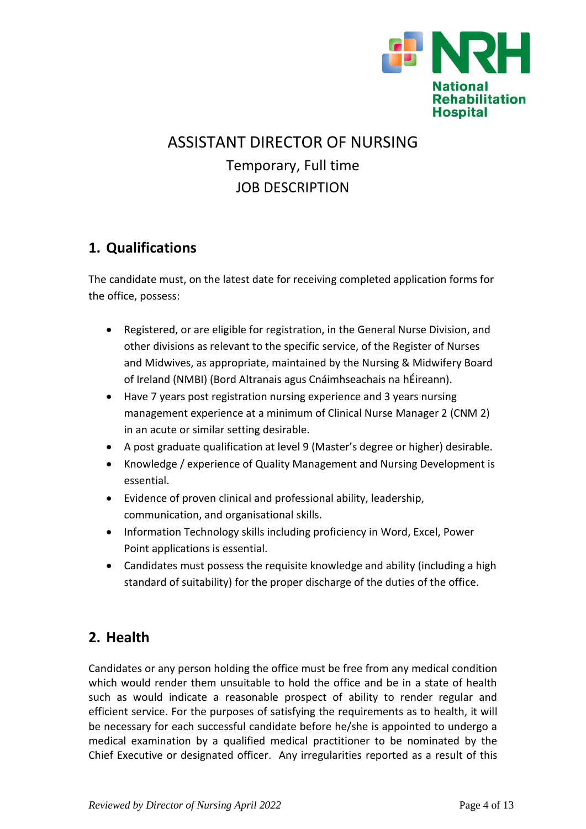

# ASSISTANT DIRECTOR OF NURSING Temporary, Full time JOB DESCRIPTION

# **1. Qualifications**

The candidate must, on the latest date for receiving completed application forms for the office, possess:

- Registered, or are eligible for registration, in the General Nurse Division, and other divisions as relevant to the specific service, of the Register of Nurses and Midwives, as appropriate, maintained by the Nursing & Midwifery Board of Ireland (NMBI) (Bord Altranais agus Cnáimhseachais na hÉireann).
- Have 7 years post registration nursing experience and 3 years nursing management experience at a minimum of Clinical Nurse Manager 2 (CNM 2) in an acute or similar setting desirable.
- A post graduate qualification at level 9 (Master's degree or higher) desirable.
- Knowledge / experience of Quality Management and Nursing Development is essential.
- Evidence of proven clinical and professional ability, leadership, communication, and organisational skills.
- Information Technology skills including proficiency in Word, Excel, Power Point applications is essential.
- Candidates must possess the requisite knowledge and ability (including a high standard of suitability) for the proper discharge of the duties of the office.

# **2. Health**

Candidates or any person holding the office must be free from any medical condition which would render them unsuitable to hold the office and be in a state of health such as would indicate a reasonable prospect of ability to render regular and efficient service. For the purposes of satisfying the requirements as to health, it will be necessary for each successful candidate before he/she is appointed to undergo a medical examination by a qualified medical practitioner to be nominated by the Chief Executive or designated officer. Any irregularities reported as a result of this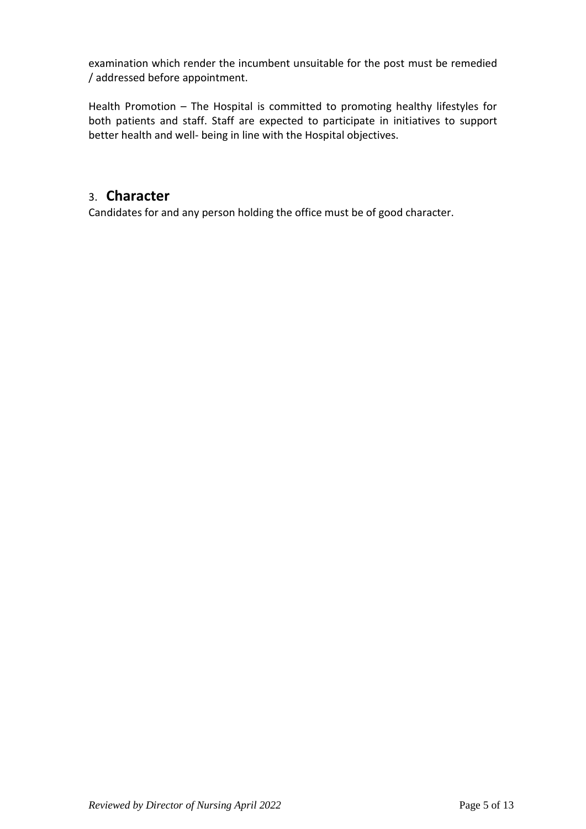examination which render the incumbent unsuitable for the post must be remedied / addressed before appointment.

Health Promotion – The Hospital is committed to promoting healthy lifestyles for both patients and staff. Staff are expected to participate in initiatives to support better health and well- being in line with the Hospital objectives.

## 3. **Character**

Candidates for and any person holding the office must be of good character.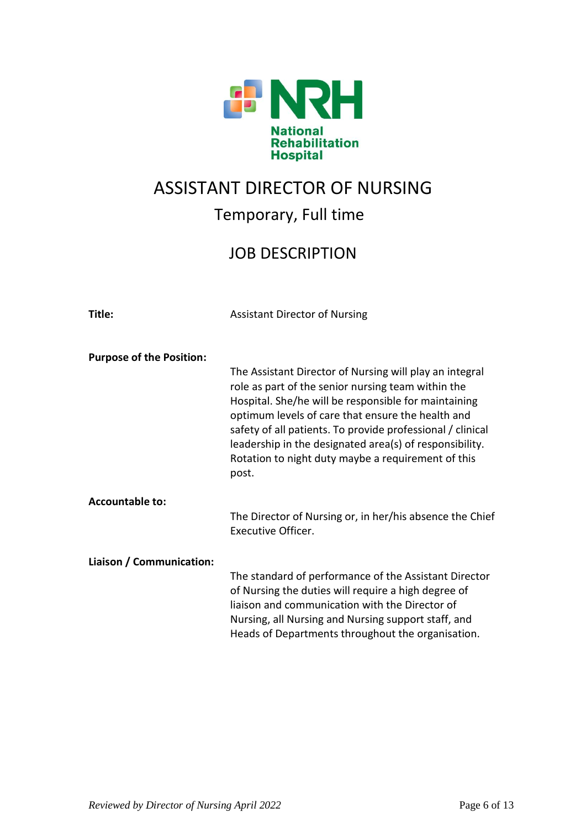

# ASSISTANT DIRECTOR OF NURSING

# Temporary, Full time

# JOB DESCRIPTION

| Title:                          | <b>Assistant Director of Nursing</b>                                                                                                                                                                                                                                                                                                                                                                               |
|---------------------------------|--------------------------------------------------------------------------------------------------------------------------------------------------------------------------------------------------------------------------------------------------------------------------------------------------------------------------------------------------------------------------------------------------------------------|
| <b>Purpose of the Position:</b> | The Assistant Director of Nursing will play an integral<br>role as part of the senior nursing team within the<br>Hospital. She/he will be responsible for maintaining<br>optimum levels of care that ensure the health and<br>safety of all patients. To provide professional / clinical<br>leadership in the designated area(s) of responsibility.<br>Rotation to night duty maybe a requirement of this<br>post. |
| <b>Accountable to:</b>          | The Director of Nursing or, in her/his absence the Chief<br>Executive Officer.                                                                                                                                                                                                                                                                                                                                     |
| Liaison / Communication:        | The standard of performance of the Assistant Director<br>of Nursing the duties will require a high degree of<br>liaison and communication with the Director of<br>Nursing, all Nursing and Nursing support staff, and<br>Heads of Departments throughout the organisation.                                                                                                                                         |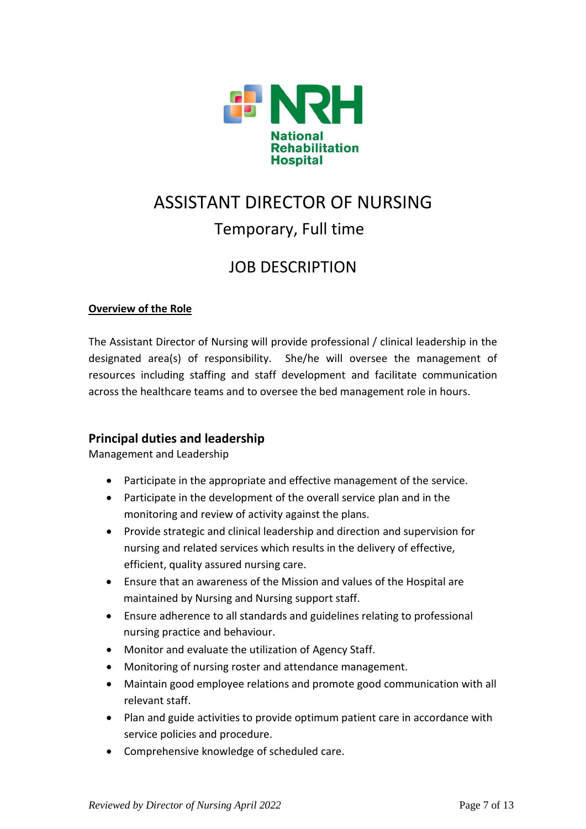

# ASSISTANT DIRECTOR OF NURSING Temporary, Full time

# JOB DESCRIPTION

### **Overview of the Role**

The Assistant Director of Nursing will provide professional / clinical leadership in the designated area(s) of responsibility. She/he will oversee the management of resources including staffing and staff development and facilitate communication across the healthcare teams and to oversee the bed management role in hours.

## **Principal duties and leadership**

Management and Leadership

- Participate in the appropriate and effective management of the service.
- Participate in the development of the overall service plan and in the monitoring and review of activity against the plans.
- Provide strategic and clinical leadership and direction and supervision for nursing and related services which results in the delivery of effective, efficient, quality assured nursing care.
- Ensure that an awareness of the Mission and values of the Hospital are maintained by Nursing and Nursing support staff.
- Ensure adherence to all standards and guidelines relating to professional nursing practice and behaviour.
- Monitor and evaluate the utilization of Agency Staff.
- Monitoring of nursing roster and attendance management.
- Maintain good employee relations and promote good communication with all relevant staff.
- Plan and guide activities to provide optimum patient care in accordance with service policies and procedure.
- Comprehensive knowledge of scheduled care.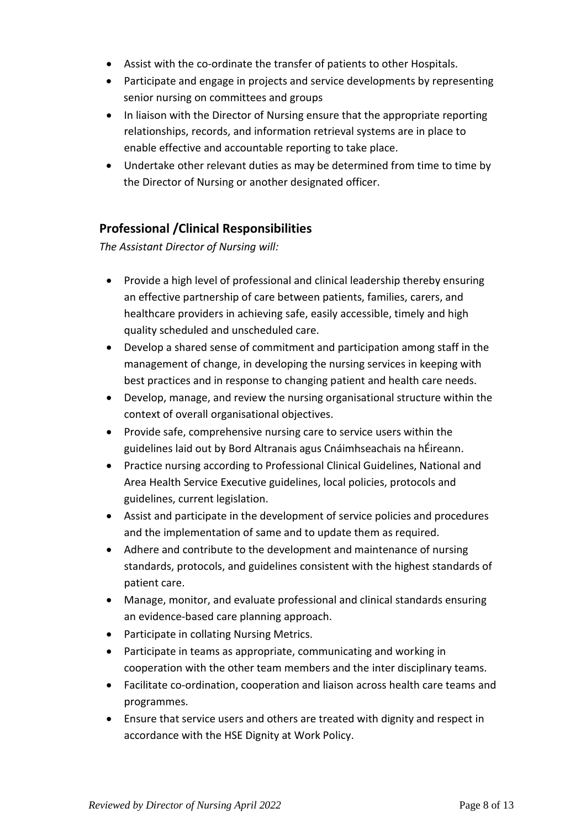- Assist with the co-ordinate the transfer of patients to other Hospitals.
- Participate and engage in projects and service developments by representing senior nursing on committees and groups
- In liaison with the Director of Nursing ensure that the appropriate reporting relationships, records, and information retrieval systems are in place to enable effective and accountable reporting to take place.
- Undertake other relevant duties as may be determined from time to time by the Director of Nursing or another designated officer.

## **Professional /Clinical Responsibilities**

*The Assistant Director of Nursing will:*

- Provide a high level of professional and clinical leadership thereby ensuring an effective partnership of care between patients, families, carers, and healthcare providers in achieving safe, easily accessible, timely and high quality scheduled and unscheduled care.
- Develop a shared sense of commitment and participation among staff in the management of change, in developing the nursing services in keeping with best practices and in response to changing patient and health care needs.
- Develop, manage, and review the nursing organisational structure within the context of overall organisational objectives.
- Provide safe, comprehensive nursing care to service users within the guidelines laid out by Bord Altranais agus Cnáimhseachais na hÉireann.
- Practice nursing according to Professional Clinical Guidelines, National and Area Health Service Executive guidelines, local policies, protocols and guidelines, current legislation.
- Assist and participate in the development of service policies and procedures and the implementation of same and to update them as required.
- Adhere and contribute to the development and maintenance of nursing standards, protocols, and guidelines consistent with the highest standards of patient care.
- Manage, monitor, and evaluate professional and clinical standards ensuring an evidence-based care planning approach.
- Participate in collating Nursing Metrics.
- Participate in teams as appropriate, communicating and working in cooperation with the other team members and the inter disciplinary teams.
- Facilitate co-ordination, cooperation and liaison across health care teams and programmes.
- Ensure that service users and others are treated with dignity and respect in accordance with the HSE Dignity at Work Policy.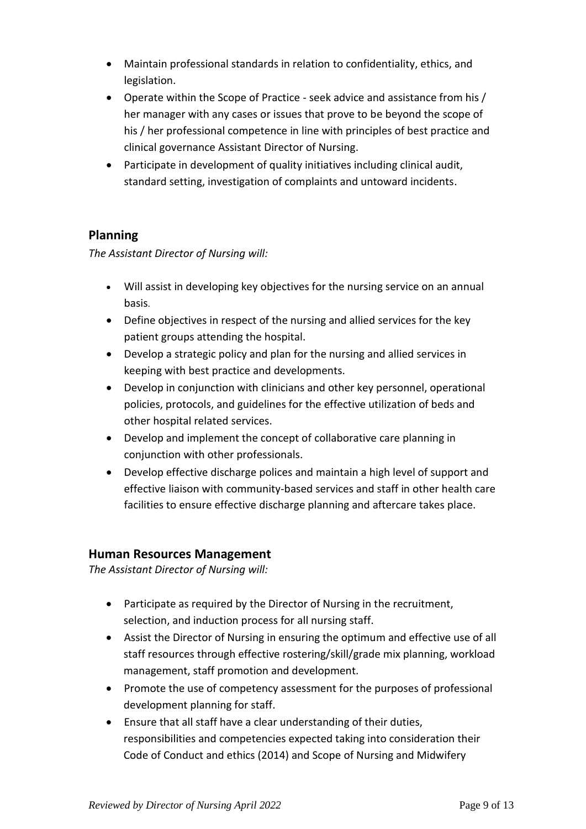- Maintain professional standards in relation to confidentiality, ethics, and legislation.
- Operate within the Scope of Practice seek advice and assistance from his / her manager with any cases or issues that prove to be beyond the scope of his / her professional competence in line with principles of best practice and clinical governance Assistant Director of Nursing.
- Participate in development of quality initiatives including clinical audit, standard setting, investigation of complaints and untoward incidents.

### **Planning**

*The Assistant Director of Nursing will:* 

- Will assist in developing key objectives for the nursing service on an annual basis.
- Define objectives in respect of the nursing and allied services for the key patient groups attending the hospital.
- Develop a strategic policy and plan for the nursing and allied services in keeping with best practice and developments.
- Develop in conjunction with clinicians and other key personnel, operational policies, protocols, and guidelines for the effective utilization of beds and other hospital related services.
- Develop and implement the concept of collaborative care planning in conjunction with other professionals.
- Develop effective discharge polices and maintain a high level of support and effective liaison with community-based services and staff in other health care facilities to ensure effective discharge planning and aftercare takes place.

### **Human Resources Management**

*The Assistant Director of Nursing will:* 

- Participate as required by the Director of Nursing in the recruitment, selection, and induction process for all nursing staff.
- Assist the Director of Nursing in ensuring the optimum and effective use of all staff resources through effective rostering/skill/grade mix planning, workload management, staff promotion and development.
- Promote the use of competency assessment for the purposes of professional development planning for staff.
- Ensure that all staff have a clear understanding of their duties, responsibilities and competencies expected taking into consideration their Code of Conduct and ethics (2014) and Scope of Nursing and Midwifery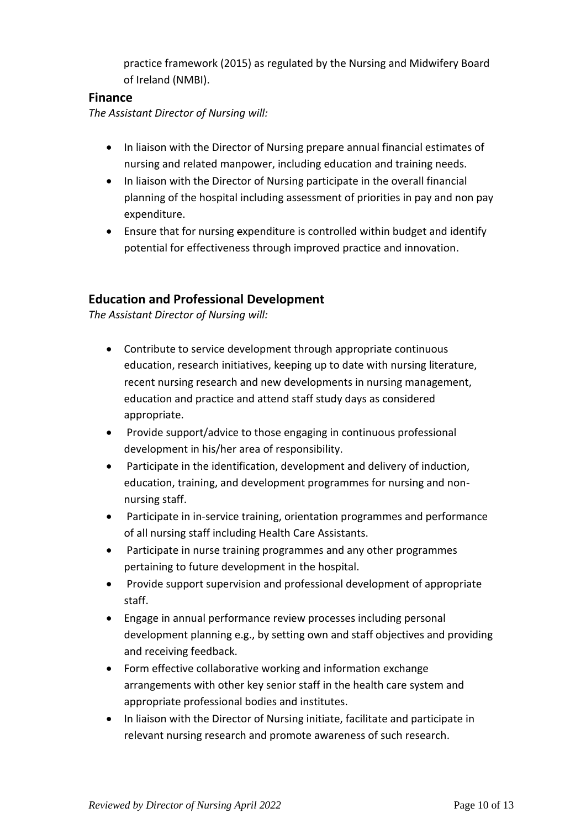practice framework (2015) as regulated by the Nursing and Midwifery Board of Ireland (NMBI).

### **Finance**

*The Assistant Director of Nursing will:* 

- In liaison with the Director of Nursing prepare annual financial estimates of nursing and related manpower, including education and training needs.
- In liaison with the Director of Nursing participate in the overall financial planning of the hospital including assessment of priorities in pay and non pay expenditure.
- Ensure that for nursing expenditure is controlled within budget and identify potential for effectiveness through improved practice and innovation.

## **Education and Professional Development**

*The Assistant Director of Nursing will:* 

- Contribute to service development through appropriate continuous education, research initiatives, keeping up to date with nursing literature, recent nursing research and new developments in nursing management, education and practice and attend staff study days as considered appropriate.
- Provide support/advice to those engaging in continuous professional development in his/her area of responsibility.
- Participate in the identification, development and delivery of induction, education, training, and development programmes for nursing and nonnursing staff.
- Participate in in-service training, orientation programmes and performance of all nursing staff including Health Care Assistants.
- Participate in nurse training programmes and any other programmes pertaining to future development in the hospital.
- Provide support supervision and professional development of appropriate staff.
- Engage in annual performance review processes including personal development planning e.g., by setting own and staff objectives and providing and receiving feedback.
- Form effective collaborative working and information exchange arrangements with other key senior staff in the health care system and appropriate professional bodies and institutes.
- In liaison with the Director of Nursing initiate, facilitate and participate in relevant nursing research and promote awareness of such research.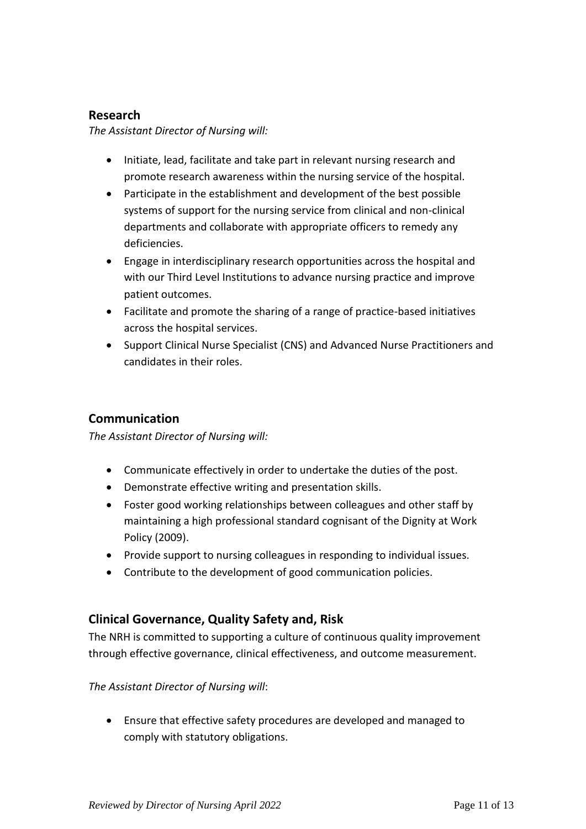### **Research**

*The Assistant Director of Nursing will:*

- Initiate, lead, facilitate and take part in relevant nursing research and promote research awareness within the nursing service of the hospital.
- Participate in the establishment and development of the best possible systems of support for the nursing service from clinical and non-clinical departments and collaborate with appropriate officers to remedy any deficiencies.
- Engage in interdisciplinary research opportunities across the hospital and with our Third Level Institutions to advance nursing practice and improve patient outcomes.
- Facilitate and promote the sharing of a range of practice-based initiatives across the hospital services.
- Support Clinical Nurse Specialist (CNS) and Advanced Nurse Practitioners and candidates in their roles.

### **Communication**

*The Assistant Director of Nursing will:*

- Communicate effectively in order to undertake the duties of the post.
- Demonstrate effective writing and presentation skills.
- Foster good working relationships between colleagues and other staff by maintaining a high professional standard cognisant of the Dignity at Work Policy (2009).
- Provide support to nursing colleagues in responding to individual issues.
- Contribute to the development of good communication policies.

### **Clinical Governance, Quality Safety and, Risk**

The NRH is committed to supporting a culture of continuous quality improvement through effective governance, clinical effectiveness, and outcome measurement.

*The Assistant Director of Nursing will*:

• Ensure that effective safety procedures are developed and managed to comply with statutory obligations.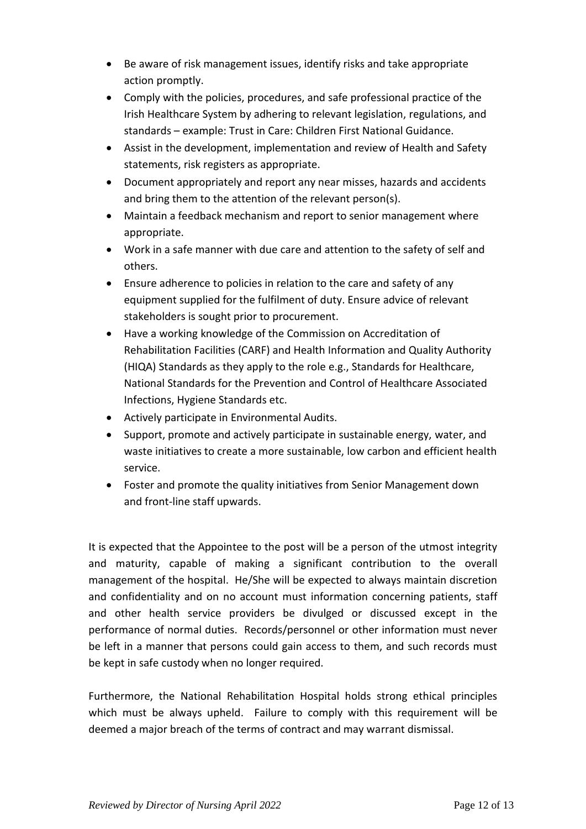- Be aware of risk management issues, identify risks and take appropriate action promptly.
- Comply with the policies, procedures, and safe professional practice of the Irish Healthcare System by adhering to relevant legislation, regulations, and standards – example: Trust in Care: Children First National Guidance.
- Assist in the development, implementation and review of Health and Safety statements, risk registers as appropriate.
- Document appropriately and report any near misses, hazards and accidents and bring them to the attention of the relevant person(s).
- Maintain a feedback mechanism and report to senior management where appropriate.
- Work in a safe manner with due care and attention to the safety of self and others.
- Ensure adherence to policies in relation to the care and safety of any equipment supplied for the fulfilment of duty. Ensure advice of relevant stakeholders is sought prior to procurement.
- Have a working knowledge of the Commission on Accreditation of Rehabilitation Facilities (CARF) and Health Information and Quality Authority (HIQA) Standards as they apply to the role e.g., Standards for Healthcare, National Standards for the Prevention and Control of Healthcare Associated Infections, Hygiene Standards etc.
- Actively participate in Environmental Audits.
- Support, promote and actively participate in sustainable energy, water, and waste initiatives to create a more sustainable, low carbon and efficient health service.
- Foster and promote the quality initiatives from Senior Management down and front-line staff upwards.

It is expected that the Appointee to the post will be a person of the utmost integrity and maturity, capable of making a significant contribution to the overall management of the hospital. He/She will be expected to always maintain discretion and confidentiality and on no account must information concerning patients, staff and other health service providers be divulged or discussed except in the performance of normal duties. Records/personnel or other information must never be left in a manner that persons could gain access to them, and such records must be kept in safe custody when no longer required.

Furthermore, the National Rehabilitation Hospital holds strong ethical principles which must be always upheld. Failure to comply with this requirement will be deemed a major breach of the terms of contract and may warrant dismissal.